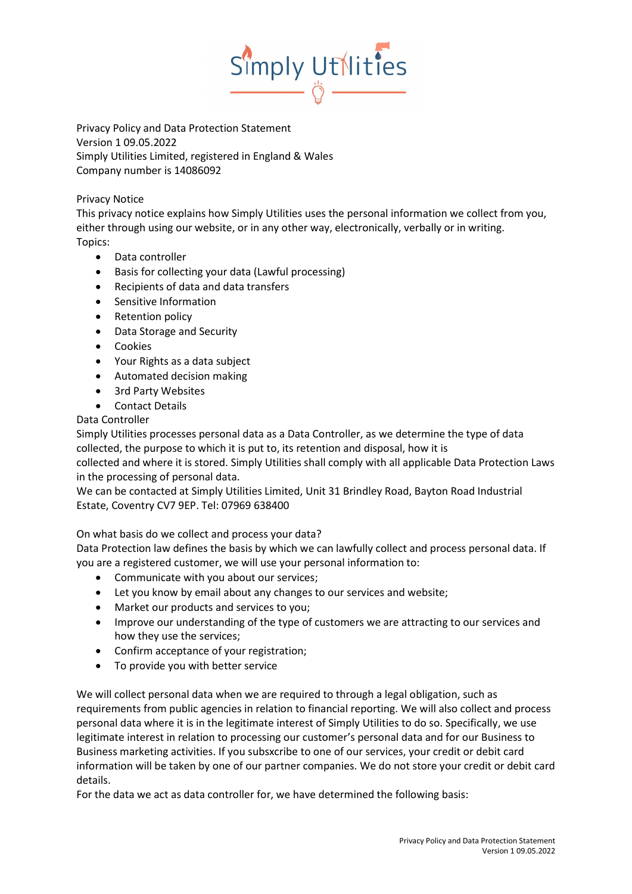

Privacy Policy and Data Protection Statement Version 1 09.05.2022 Simply Utilities Limited, registered in England & Wales Company number is 14086092

## Privacy Notice

This privacy notice explains how Simply Utilities uses the personal information we collect from you, either through using our website, or in any other way, electronically, verbally or in writing. Topics:

- Data controller
- Basis for collecting your data (Lawful processing)
- Recipients of data and data transfers
- Sensitive Information
- Retention policy
- Data Storage and Security
- **•** Cookies
- Your Rights as a data subject
- Automated decision making
- 3rd Party Websites
- Contact Details

Data Controller

Simply Utilities processes personal data as a Data Controller, as we determine the type of data collected, the purpose to which it is put to, its retention and disposal, how it is

collected and where it is stored. Simply Utilities shall comply with all applicable Data Protection Laws in the processing of personal data.

We can be contacted at Simply Utilities Limited, Unit 31 Brindley Road, Bayton Road Industrial Estate, Coventry CV7 9EP. Tel: 07969 638400

On what basis do we collect and process your data?

Data Protection law defines the basis by which we can lawfully collect and process personal data. If you are a registered customer, we will use your personal information to:

- Communicate with you about our services;
- Let you know by email about any changes to our services and website;
- Market our products and services to you;
- Improve our understanding of the type of customers we are attracting to our services and how they use the services;
- Confirm acceptance of your registration;
- To provide you with better service

We will collect personal data when we are required to through a legal obligation, such as requirements from public agencies in relation to financial reporting. We will also collect and process personal data where it is in the legitimate interest of Simply Utilities to do so. Specifically, we use legitimate interest in relation to processing our customer's personal data and for our Business to Business marketing activities. If you subsxcribe to one of our services, your credit or debit card information will be taken by one of our partner companies. We do not store your credit or debit card details.

For the data we act as data controller for, we have determined the following basis: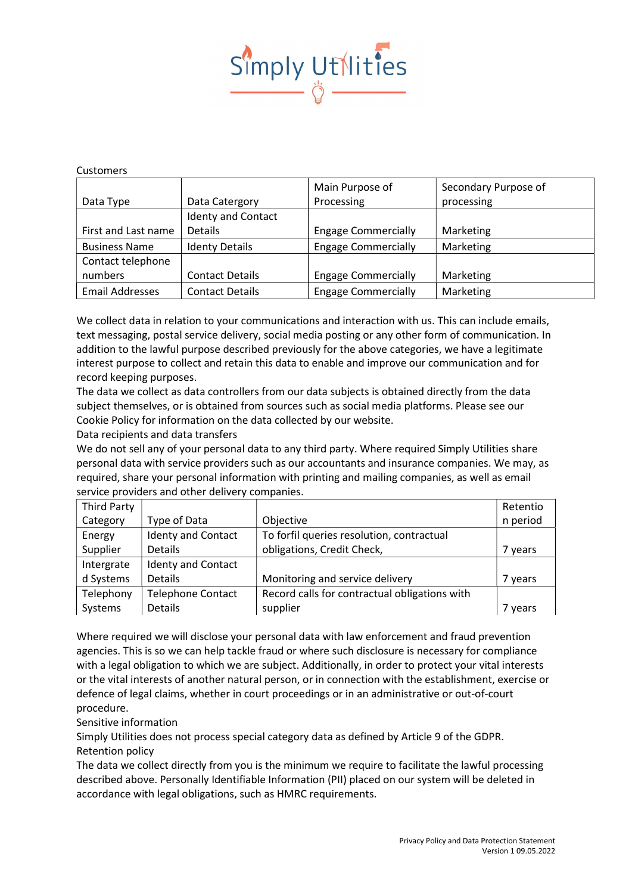

## Customers

|                        |                           | Main Purpose of            | Secondary Purpose of |
|------------------------|---------------------------|----------------------------|----------------------|
| Data Type              | Data Catergory            | Processing                 | processing           |
|                        | <b>Identy and Contact</b> |                            |                      |
| First and Last name    | <b>Details</b>            | <b>Engage Commercially</b> | Marketing            |
| <b>Business Name</b>   | <b>Identy Details</b>     | <b>Engage Commercially</b> | Marketing            |
| Contact telephone      |                           |                            |                      |
| numbers                | <b>Contact Details</b>    | <b>Engage Commercially</b> | Marketing            |
| <b>Email Addresses</b> | <b>Contact Details</b>    | <b>Engage Commercially</b> | Marketing            |

We collect data in relation to your communications and interaction with us. This can include emails, text messaging, postal service delivery, social media posting or any other form of communication. In addition to the lawful purpose described previously for the above categories, we have a legitimate interest purpose to collect and retain this data to enable and improve our communication and for record keeping purposes.

The data we collect as data controllers from our data subjects is obtained directly from the data subject themselves, or is obtained from sources such as social media platforms. Please see our Cookie Policy for information on the data collected by our website.

Data recipients and data transfers

We do not sell any of your personal data to any third party. Where required Simply Utilities share personal data with service providers such as our accountants and insurance companies. We may, as required, share your personal information with printing and mailing companies, as well as email service providers and other delivery companies.

| Third Party |                           |                                               | Retentio |
|-------------|---------------------------|-----------------------------------------------|----------|
| Category    | Type of Data              | Objective                                     | n period |
| Energy      | <b>Identy and Contact</b> | To forfil queries resolution, contractual     |          |
| Supplier    | <b>Details</b>            | obligations, Credit Check,                    | 7 years  |
| Intergrate  | <b>Identy and Contact</b> |                                               |          |
| d Systems   | Details                   | Monitoring and service delivery               | 7 years  |
| Telephony   | <b>Telephone Contact</b>  | Record calls for contractual obligations with |          |
| Systems     | Details                   | supplier                                      | 7 years  |

Where required we will disclose your personal data with law enforcement and fraud prevention agencies. This is so we can help tackle fraud or where such disclosure is necessary for compliance with a legal obligation to which we are subject. Additionally, in order to protect your vital interests or the vital interests of another natural person, or in connection with the establishment, exercise or defence of legal claims, whether in court proceedings or in an administrative or out-of-court procedure.

## Sensitive information

Simply Utilities does not process special category data as defined by Article 9 of the GDPR. Retention policy

The data we collect directly from you is the minimum we require to facilitate the lawful processing described above. Personally Identifiable Information (PII) placed on our system will be deleted in accordance with legal obligations, such as HMRC requirements.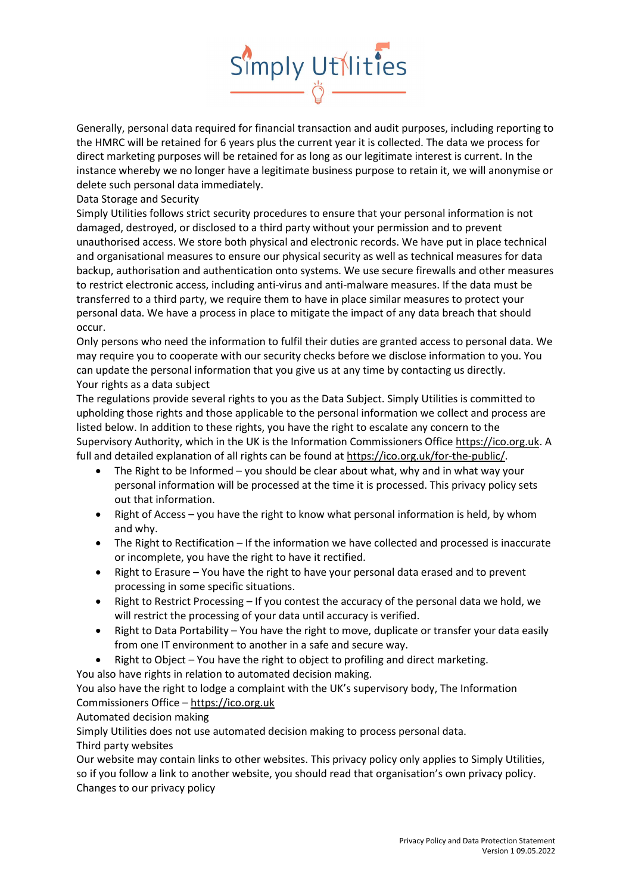

Generally, personal data required for financial transaction and audit purposes, including reporting to the HMRC will be retained for 6 years plus the current year it is collected. The data we process for direct marketing purposes will be retained for as long as our legitimate interest is current. In the instance whereby we no longer have a legitimate business purpose to retain it, we will anonymise or delete such personal data immediately.

Data Storage and Security

Simply Utilities follows strict security procedures to ensure that your personal information is not damaged, destroyed, or disclosed to a third party without your permission and to prevent unauthorised access. We store both physical and electronic records. We have put in place technical and organisational measures to ensure our physical security as well as technical measures for data backup, authorisation and authentication onto systems. We use secure firewalls and other measures to restrict electronic access, including anti-virus and anti-malware measures. If the data must be transferred to a third party, we require them to have in place similar measures to protect your personal data. We have a process in place to mitigate the impact of any data breach that should occur.

Only persons who need the information to fulfil their duties are granted access to personal data. We may require you to cooperate with our security checks before we disclose information to you. You can update the personal information that you give us at any time by contacting us directly. Your rights as a data subject

The regulations provide several rights to you as the Data Subject. Simply Utilities is committed to upholding those rights and those applicable to the personal information we collect and process are listed below. In addition to these rights, you have the right to escalate any concern to the Supervisory Authority, which in the UK is the Information Commissioners Office https://ico.org.uk. A full and detailed explanation of all rights can be found at https://ico.org.uk/for-the-public/.

- $\bullet$  The Right to be Informed you should be clear about what, why and in what way your personal information will be processed at the time it is processed. This privacy policy sets out that information.
- Right of Access you have the right to know what personal information is held, by whom and why.
- The Right to Rectification If the information we have collected and processed is inaccurate or incomplete, you have the right to have it rectified.
- Right to Erasure You have the right to have your personal data erased and to prevent processing in some specific situations.
- Right to Restrict Processing If you contest the accuracy of the personal data we hold, we will restrict the processing of your data until accuracy is verified.
- Right to Data Portability You have the right to move, duplicate or transfer your data easily from one IT environment to another in a safe and secure way.
- Right to Object You have the right to object to profiling and direct marketing.

You also have rights in relation to automated decision making.

You also have the right to lodge a complaint with the UK's supervisory body, The Information Commissioners Office – https://ico.org.uk

## Automated decision making

Simply Utilities does not use automated decision making to process personal data.

Third party websites

Our website may contain links to other websites. This privacy policy only applies to Simply Utilities, so if you follow a link to another website, you should read that organisation's own privacy policy. Changes to our privacy policy